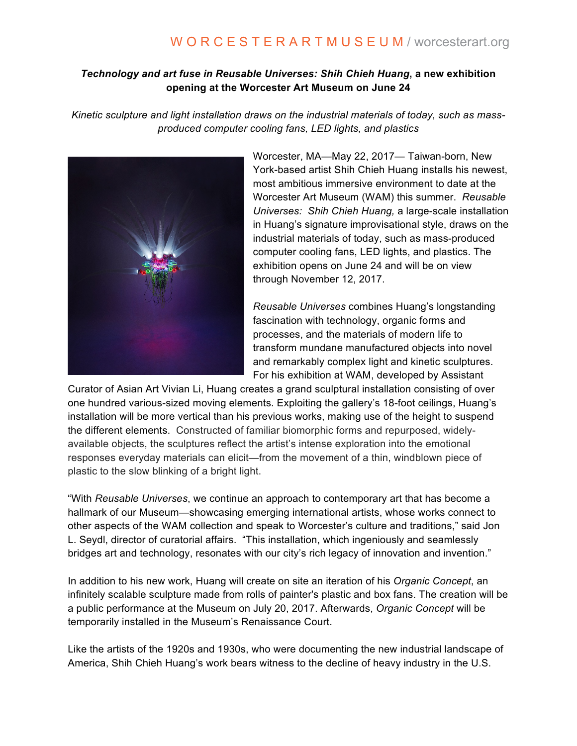# W O R C E S T E R A R T M U S E U M / worcesterart.org

# *Technology and art fuse in Reusable Universes: Shih Chieh Huang***, a new exhibition opening at the Worcester Art Museum on June 24**

*Kinetic sculpture and light installation draws on the industrial materials of today, such as massproduced computer cooling fans, LED lights, and plastics*



Worcester, MA—May 22, 2017— Taiwan-born, New York-based artist Shih Chieh Huang installs his newest, most ambitious immersive environment to date at the Worcester Art Museum (WAM) this summer. *Reusable Universes: Shih Chieh Huang,* a large-scale installation in Huang's signature improvisational style, draws on the industrial materials of today, such as mass-produced computer cooling fans, LED lights, and plastics. The exhibition opens on June 24 and will be on view through November 12, 2017.

*Reusable Universes* combines Huang's longstanding fascination with technology, organic forms and processes, and the materials of modern life to transform mundane manufactured objects into novel and remarkably complex light and kinetic sculptures. For his exhibition at WAM, developed by Assistant

Curator of Asian Art Vivian Li, Huang creates a grand sculptural installation consisting of over one hundred various-sized moving elements. Exploiting the gallery's 18-foot ceilings, Huang's installation will be more vertical than his previous works, making use of the height to suspend the different elements. Constructed of familiar biomorphic forms and repurposed, widelyavailable objects, the sculptures reflect the artist's intense exploration into the emotional responses everyday materials can elicit—from the movement of a thin, windblown piece of plastic to the slow blinking of a bright light.

"With *Reusable Universes*, we continue an approach to contemporary art that has become a hallmark of our Museum—showcasing emerging international artists, whose works connect to other aspects of the WAM collection and speak to Worcester's culture and traditions," said Jon L. Seydl, director of curatorial affairs. "This installation, which ingeniously and seamlessly bridges art and technology, resonates with our city's rich legacy of innovation and invention."

In addition to his new work, Huang will create on site an iteration of his *Organic Concept*, an infinitely scalable sculpture made from rolls of painter's plastic and box fans. The creation will be a public performance at the Museum on July 20, 2017. Afterwards, *Organic Concept* will be temporarily installed in the Museum's Renaissance Court.

Like the artists of the 1920s and 1930s, who were documenting the new industrial landscape of America, Shih Chieh Huang's work bears witness to the decline of heavy industry in the U.S.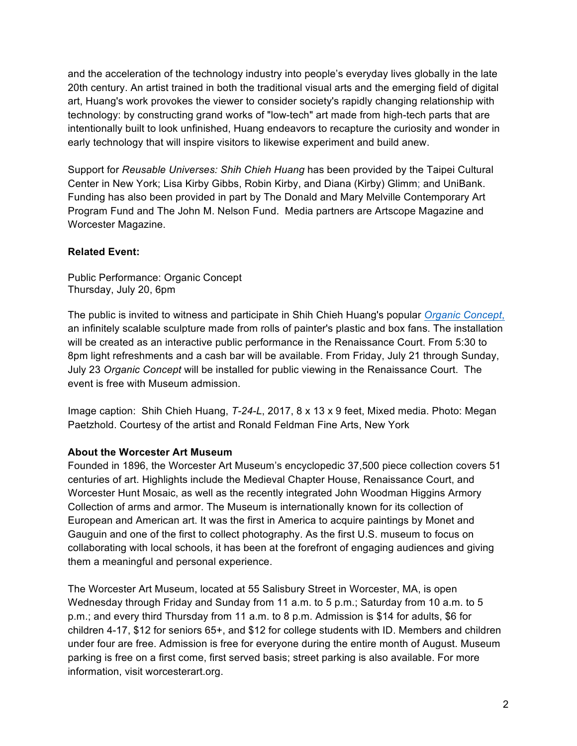and the acceleration of the technology industry into people's everyday lives globally in the late 20th century. An artist trained in both the traditional visual arts and the emerging field of digital art, Huang's work provokes the viewer to consider society's rapidly changing relationship with technology: by constructing grand works of "low-tech" art made from high-tech parts that are intentionally built to look unfinished, Huang endeavors to recapture the curiosity and wonder in early technology that will inspire visitors to likewise experiment and build anew.

Support for *Reusable Universes: Shih Chieh Huang* has been provided by the Taipei Cultural Center in New York; Lisa Kirby Gibbs, Robin Kirby, and Diana (Kirby) Glimm; and UniBank. Funding has also been provided in part by The Donald and Mary Melville Contemporary Art Program Fund and The John M. Nelson Fund. Media partners are Artscope Magazine and Worcester Magazine.

# **Related Event:**

Public Performance: Organic Concept Thursday, July 20, 6pm

The public is invited to witness and participate in Shih Chieh Huang's popular *[Organic Concept](http://www.messymix.com/organic-concept/)*, an infinitely scalable sculpture made from rolls of painter's plastic and box fans. The installation will be created as an interactive public performance in the Renaissance Court. From 5:30 to 8pm light refreshments and a cash bar will be available. From Friday, July 21 through Sunday, July 23 *Organic Concept* will be installed for public viewing in the Renaissance Court. The event is free with Museum admission.

Image caption: Shih Chieh Huang, *T-24-L*, 2017, 8 x 13 x 9 feet, Mixed media. Photo: Megan Paetzhold. Courtesy of the artist and Ronald Feldman Fine Arts, New York

### **About the Worcester Art Museum**

Founded in 1896, the Worcester Art Museum's encyclopedic 37,500 piece collection covers 51 centuries of art. Highlights include the Medieval Chapter House, Renaissance Court, and Worcester Hunt Mosaic, as well as the recently integrated John Woodman Higgins Armory Collection of arms and armor. The Museum is internationally known for its collection of European and American art. It was the first in America to acquire paintings by Monet and Gauguin and one of the first to collect photography. As the first U.S. museum to focus on collaborating with local schools, it has been at the forefront of engaging audiences and giving them a meaningful and personal experience.

The Worcester Art Museum, located at 55 Salisbury Street in Worcester, MA, is open Wednesday through Friday and Sunday from 11 a.m. to 5 p.m.; Saturday from 10 a.m. to 5 p.m.; and every third Thursday from 11 a.m. to 8 p.m. Admission is \$14 for adults, \$6 for children 4-17, \$12 for seniors 65+, and \$12 for college students with ID. Members and children under four are free. Admission is free for everyone during the entire month of August. Museum parking is free on a first come, first served basis; street parking is also available. For more information, visit worcesterart.org.